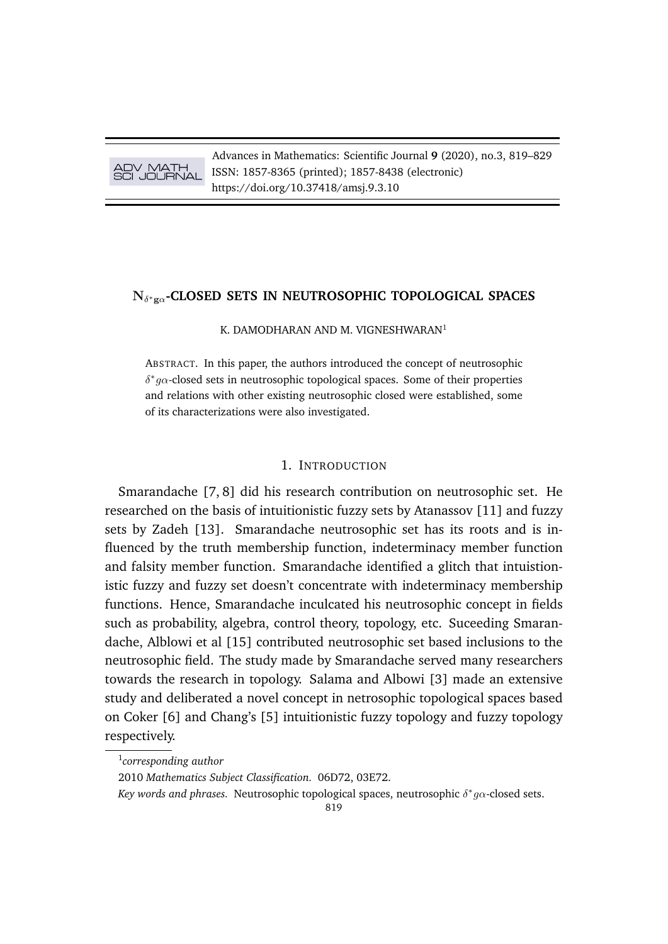Advances in Mathematics: Scientific Journal **9** (2020), no.3, 819–829 ISSN: 1857-8365 (printed); 1857-8438 (electronic) https://doi.org/10.37418/amsj.9.3.10

# N<sup>δ</sup> <sup>∗</sup>gα**-CLOSED SETS IN NEUTROSOPHIC TOPOLOGICAL SPACES**

K. DAMODHARAN AND M. VIGNESHWARAN<sup>1</sup>

ABSTRACT. In this paper, the authors introduced the concept of neutrosophic  $\delta^* g \alpha$ -closed sets in neutrosophic topological spaces. Some of their properties and relations with other existing neutrosophic closed were established, some of its characterizations were also investigated.

#### 1. INTRODUCTION

Smarandache [7, 8] did his research contribution on neutrosophic set. He researched on the basis of intuitionistic fuzzy sets by Atanassov [11] and fuzzy sets by Zadeh [13]. Smarandache neutrosophic set has its roots and is influenced by the truth membership function, indeterminacy member function and falsity member function. Smarandache identified a glitch that intuistionistic fuzzy and fuzzy set doesn't concentrate with indeterminacy membership functions. Hence, Smarandache inculcated his neutrosophic concept in fields such as probability, algebra, control theory, topology, etc. Suceeding Smarandache, Alblowi et al [15] contributed neutrosophic set based inclusions to the neutrosophic field. The study made by Smarandache served many researchers towards the research in topology. Salama and Albowi [3] made an extensive study and deliberated a novel concept in netrosophic topological spaces based on Coker [6] and Chang's [5] intuitionistic fuzzy topology and fuzzy topology respectively.

<sup>1</sup> *corresponding author*

<sup>2010</sup> *Mathematics Subject Classification.* 06D72, 03E72.

*Key words and phrases.* Neutrosophic topological spaces, neutrosophic δ ∗ gα-closed sets.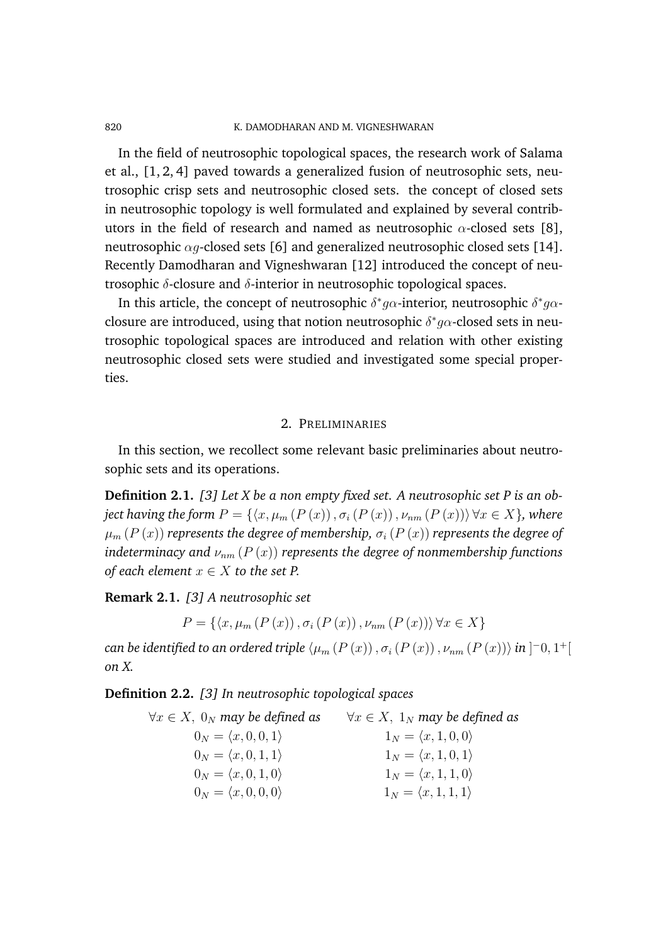#### 820 K. DAMODHARAN AND M. VIGNESHWARAN

In the field of neutrosophic topological spaces, the research work of Salama et al., [1, 2, 4] paved towards a generalized fusion of neutrosophic sets, neutrosophic crisp sets and neutrosophic closed sets. the concept of closed sets in neutrosophic topology is well formulated and explained by several contributors in the field of research and named as neutrosophic  $\alpha$ -closed sets [8], neutrosophic  $\alpha q$ -closed sets [6] and generalized neutrosophic closed sets [14]. Recently Damodharan and Vigneshwaran [12] introduced the concept of neutrosophic  $δ$ -closure and  $δ$ -interior in neutrosophic topological spaces.

In this article, the concept of neutrosophic  $\delta^* g \alpha$ -interior, neutrosophic  $\delta^* g \alpha$ closure are introduced, using that notion neutrosophic  $\delta^* g \alpha$ -closed sets in neutrosophic topological spaces are introduced and relation with other existing neutrosophic closed sets were studied and investigated some special properties.

## 2. PRELIMINARIES

In this section, we recollect some relevant basic preliminaries about neutrosophic sets and its operations.

**Definition 2.1.** *[3] Let X be a non empty fixed set. A neutrosophic set P is an object having the form*  $P = \{x, \mu_m (P(x)), \sigma_i (P(x)), \nu_{nm} (P(x))\}\forall x \in X\}$ , where  $\mu_m(P(x))$  *represents the degree of membership,*  $\sigma_i(P(x))$  *represents the degree of indeterminacy and*  $\nu_{nm}$  ( $P(x)$ ) *represents the degree of nonmembership functions of each element*  $x \in X$  *to the set P.* 

**Remark 2.1.** *[3] A neutrosophic set*

$$
P = \{ \langle x, \mu_m(P(x)), \sigma_i(P(x)), \nu_{nm}(P(x)) \rangle \, \forall x \in X \}
$$

 $\zeta$ can be identified to an ordered triple  $\langle \mu_m\left(P\left(x\right)\right), \sigma_i\left(P\left(x\right)\right), \nu_{nm}\left(P\left(x\right)\right)\rangle$  in  $]^{-0},1^+[\sigma]$ *on X.*

**Definition 2.2.** *[3] In neutrosophic topological spaces*

 $∀x ∈ X$ , 0<sub>N</sub> may be defined as  $∀x ∈ X$ , 1<sub>N</sub> may be defined as  $0_N = \langle x, 0, 0, 1 \rangle$   $1_N = \langle x, 1, 0, 0 \rangle$  $0_N = \langle x, 0, 1, 1 \rangle$   $1_N = \langle x, 1, 0, 1 \rangle$  $0_N = \langle x, 0, 1, 0 \rangle$   $1_N = \langle x, 1, 1, 0 \rangle$  $0_N = \langle x, 0, 0, 0 \rangle$   $1_N = \langle x, 1, 1, 1 \rangle$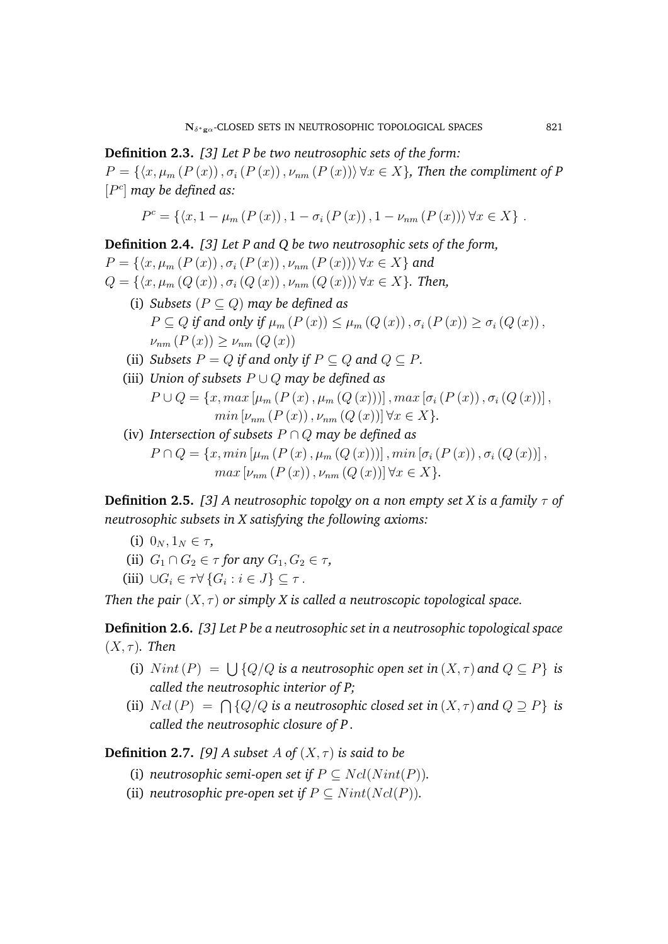**Definition 2.3.** *[3] Let P be two neutrosophic sets of the form:*  $P = \{\langle x, \mu_m (P(x)), \sigma_i (P(x)), \nu_{nm} (P(x))\rangle \forall x \in X\}$ , Then the compliment of P [P c ] *may be defined as:*

$$
P^{c} = \{ \langle x, 1 - \mu_{m} (P(x)), 1 - \sigma_{i} (P(x)), 1 - \nu_{nm} (P(x)) \rangle \, \forall x \in X \}.
$$

**Definition 2.4.** *[3] Let P and Q be two neutrosophic sets of the form,*  $P = \{ \langle x, \mu_m (P(x)), \sigma_i (P(x)), \nu_{nm} (P(x)) \rangle \, \forall x \in X \}$  and  $Q = \{\langle x, \mu_m(Q(x)), \sigma_i(Q(x)), \nu_{nm}(Q(x))\rangle \,\forall x \in X\}.$  Then, (i) *Subsets* (P ⊆ Q) *may be defined as*  $P \subseteq Q$  *if and only if*  $\mu_m(P(x)) \leq \mu_m(Q(x))$ ,  $\sigma_i(P(x)) \geq \sigma_i(Q(x))$ ,  $\nu_{nm}$   $(P(x)) \geq \nu_{nm}$   $(Q(x))$ (ii) *Subsets*  $P = Q$  *if and only if*  $P \subseteq Q$  *and*  $Q \subseteq P$ *.* (iii) *Union of subsets* P ∪ Q *may be defined as*

$$
P \cup Q = \{x, max \left[ \mu_m \left( P \left( x \right), \mu_m \left( Q \left( x \right) \right) \right) \right], max \left[ \sigma_i \left( P \left( x \right) \right), \sigma_i \left( Q \left( x \right) \right) \right],
$$
  

$$
min \left[ \nu_{nm} \left( P \left( x \right) \right), \nu_{nm} \left( Q \left( x \right) \right) \right] \forall x \in X \}.
$$

(iv) *Intersection of subsets* P ∩ Q *may be defined as*  $P \cap Q = \{x, min \left[ \mu_m (P(x), \mu_m (Q(x)) ) \right], min \left[ \sigma_i (P(x)), \sigma_i (Q(x)) \right],$  $max \left[ \nu_{nm} (P(x)), \nu_{nm} (Q(x)) \right] \forall x \in X$ .

**Definition 2.5.** [3] A neutrosophic topolgy on a non empty set X is a family  $\tau$  of *neutrosophic subsets in X satisfying the following axioms:*

- (i)  $0_N, 1_N \in \tau$ ,
- (ii)  $G_1 \cap G_2 \in \tau$  for any  $G_1, G_2 \in \tau$ ,

(iii) 
$$
\cup G_i \in \tau \forall \{G_i : i \in J\} \subseteq \tau.
$$

*Then the pair*  $(X, \tau)$  *or simply X is called a neutroscopic topological space.* 

**Definition 2.6.** *[3] Let P be a neutrosophic set in a neutrosophic topological space*  $(X, \tau)$ *. Then* 

- (i)  $Nint(P) = \bigcup \{Q/Q \text{ is a neutrosophic open set in  $(X, \tau)$  and  $Q \subseteq P\}$  is$ *called the neutrosophic interior of P;*
- (ii)  $Ncl(P) = \bigcap \{Q/Q \text{ is a neutrosophic closed set in  $(X, \tau)$  and  $Q \supseteq P\}$  is$ *called the neutrosophic closure of P .*

**Definition 2.7.** [9] A subset A of  $(X, \tau)$  is said to be

- (i) *neutrosophic semi-open set if*  $P \subseteq Ncl(Nint(P))$ .
- (ii) *neutrosophic pre-open set if*  $P \subseteq Nint(Ncl(P))$ *.*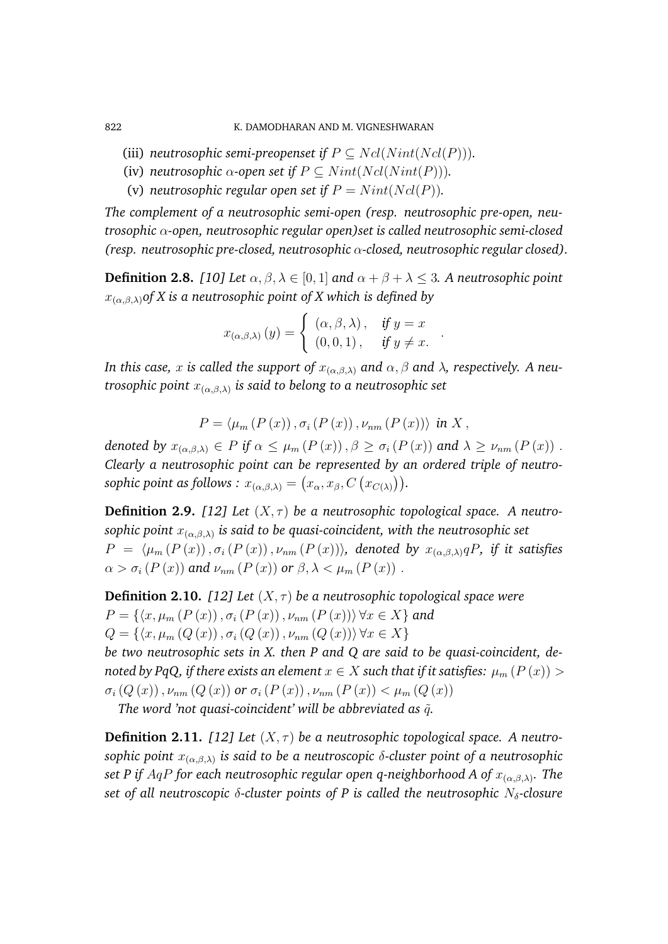822 K. DAMODHARAN AND M. VIGNESHWARAN

- (iii) *neutrosophic semi-preopenset if*  $P \subseteq Ncl(Nint(Ncl(P))).$
- (iv) *neutrosophic*  $\alpha$ -open set if  $P \subseteq Nint(Ncl(Nint(P))).$
- (v) *neutrosophic regular open set if*  $P = Nint(Ncl(P))$ .

*The complement of a neutrosophic semi-open (resp. neutrosophic pre-open, neutrosophic* α*-open, neutrosophic regular open)set is called neutrosophic semi-closed (resp. neutrosophic pre-closed, neutrosophic* α*-closed, neutrosophic regular closed).*

**Definition 2.8.** *[10] Let*  $\alpha, \beta, \lambda \in [0, 1]$  *and*  $\alpha + \beta + \lambda \leq 3$ *. A neutrosophic point* x(α,β,λ)*of X is a neutrosophic point of X which is defined by*

$$
x_{(\alpha,\beta,\lambda)}(y) = \begin{cases} (\alpha,\beta,\lambda), & \text{if } y = x \\ (0,0,1), & \text{if } y \neq x. \end{cases}
$$

.

*In this case,* x *is called the support of*  $x_{(\alpha,\beta,\lambda)}$  *and*  $\alpha, \beta$  *and*  $\lambda$ *, respectively. A neutrosophic point* x(α,β,λ) *is said to belong to a neutrosophic set*

$$
P = \langle \mu_m(P(x)), \sigma_i(P(x)), \nu_{nm}(P(x)) \rangle \text{ in } X,
$$

*denoted by*  $x_{(\alpha,\beta,\lambda)} \in P$  *if*  $\alpha \leq \mu_m(P(x))$ ,  $\beta \geq \sigma_i(P(x))$  *and*  $\lambda \geq \nu_{nm}(P(x))$ . *Clearly a neutrosophic point can be represented by an ordered triple of neutro* $sophic$  point as follows  $:x_{(\alpha,\beta,\lambda)}=(x_\alpha,x_\beta,C\left(x_{C(\lambda)}\right)).$ 

**Definition 2.9.** [12] Let  $(X, \tau)$  be a neutrosophic topological space. A neutro*sophic point* x(α,β,λ) *is said to be quasi-coincident, with the neutrosophic set*  $P = \langle \mu_m (P(x)), \sigma_i (P(x)), \nu_{nm} (P(x)) \rangle$ *, denoted by*  $x_{(\alpha,\beta,\lambda)} qP$ *, if it satisfies*  $\alpha > \sigma_i(P(x))$  and  $\nu_{nm}(P(x))$  or  $\beta, \lambda < \mu_m(P(x))$ .

**Definition 2.10.** *[12] Let*  $(X, \tau)$  *be a neutrosophic topological space were*  $P = \{ \langle x, \mu_m (P(x)), \sigma_i (P(x)), \nu_{nm} (P(x)) \rangle \, \forall x \in X \}$  and  $Q = \{ \langle x, \mu_m(Q(x)), \sigma_i(Q(x)), \nu_{nm}(Q(x)) \rangle \, \forall x \in X \}$ 

*be two neutrosophic sets in X. then P and Q are said to be quasi-coincident, denoted by PqQ, if there exists an element*  $x \in X$  *such that if it satisfies:*  $\mu_m(P(x))$  >  $\sigma_i(Q(x))$ ,  $\nu_{nm}(Q(x))$  or  $\sigma_i(P(x))$ ,  $\nu_{nm}(P(x)) < \mu_m(Q(x))$ 

*The word 'not quasi-coincident' will be abbreviated as*  $\tilde{q}$ *.* 

**Definition 2.11.** [12] Let  $(X, \tau)$  be a neutrosophic topological space. A neutro*sophic point* x(α,β,λ) *is said to be a neutroscopic* δ*-cluster point of a neutrosophic set P if* AqP *for each neutrosophic regular open q-neighborhood A of* x(α,β,λ) *. The set of all neutroscopic δ-cluster points of P is called the neutrosophic N<sub>δ</sub>-closure*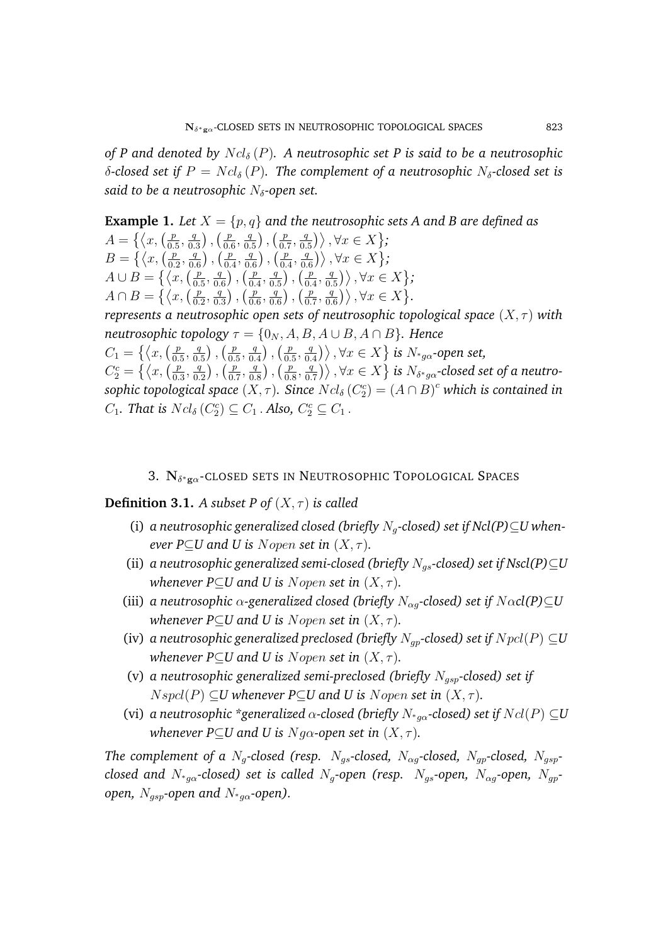*of P and denoted by*  $Ncl_{\delta}(P)$ . A neutrosophic set P is said to be a neutrosophic δ-closed set if  $P = Ncl_{\delta}(P)$ . The complement of a neutrosophic N<sub>δ</sub>-closed set is *said to be a neutrosophic* N<sub>δ</sub>-open set.

**Example 1.** Let  $X = \{p, q\}$  and the neutrosophic sets A and B are defined as  $A = \{\langle x, \begin{pmatrix} p \\ p \end{pmatrix}\rangle\}$  $\frac{p}{0.5}, \frac{q}{0.}$  $\left(\frac{q}{0.3}\right)$ ,  $\left(\frac{p}{0.5}\right)$  $\frac{p}{0.6}, \frac{q}{0.}$  $\frac{q}{0.5}$ ),  $\left(\frac{p}{0.5}\right)$  $\frac{p}{0.7}, \frac{q}{0.}$  $\left\{\frac{q}{0.5}\right\}$ ,  $\forall x \in X$ ;  $B = \{ \langle x, \langle x \rangle \}$  $\frac{p}{0.2}, \frac{q}{0.}$  $\frac{q}{0.6}$ ,  $\left(\frac{p}{0.} \right)$  $\frac{p}{0.4}, \frac{q}{0.}$  $\frac{q}{0.6}$ ,  $\left(\frac{p}{0.} \right)$  $\frac{p}{0.4}, \frac{q}{0.}$  $\left\{\frac{q}{0.6}\right\}\right\}, \forall x \in X$ ;  $A \cup B = \left\{ \langle x, \left( \frac{p}{0} \right) \right\}$  $\frac{p}{0.5}, \frac{q}{0.}$  $\frac{q}{0.6}$ ),  $\left(\frac{p}{0.5}\right)$  $\frac{p}{0.4}, \frac{q}{0.}$  $\frac{q}{0.5}$ ),  $\left(\frac{p}{0.5}\right)$  $\frac{p}{0.4}, \frac{q}{0.}$  $\left\langle \frac{q}{0.5}\right\rangle$ ,  $\forall x \in X$  ;  $A \cap B = \left\{ \langle x, \left( \frac{p}{\alpha} \right) \right\}$  $\frac{p}{0.2}, \frac{q}{0.}$  $\frac{q}{0.3}$ ),  $\left(\frac{p}{0.} \right)$  $\frac{p}{0.6}, \frac{q}{0.}$  $\frac{q}{0.6}$ ),  $\left(\frac{p}{0.5}\right)$  $\frac{p}{0.7}, \frac{q}{0.}$  $\left\{\frac{q}{0.6}\right\}\right\}, \forall x \in X$ . *represents a neutrosophic open sets of neutrosophic topological space*  $(X, \tau)$  *with neutrosophic topology*  $\tau = \{0_N, A, B, A \cup B, A \cap B\}$ *. Hence*  $C_1 = \left\{ \left\langle x, \left( \frac{p}{0} \right) \right\rangle$  $\frac{p}{0.5}, \frac{q}{0.}$  $\frac{q}{0.5}$ ),  $\left(\frac{p}{0.5}\right)$  $\frac{p}{0.5}, \frac{q}{0.}$  $\frac{q}{0.4}$ ,  $\left(\frac{p}{0.4}\right)$  $\frac{p}{0.5}, \frac{q}{0.}$  $\left\{ \frac{q}{0.4} \right\} \right\}$  ,  $\forall x \in X \big\}$  is  $N_{^{\ast}g\alpha}$ -open set,  $C_2^c = \left\{ \left\langle x, \left( \frac{p}{0.5} \right) \right\rangle$  $\frac{p}{0.3}, \frac{q}{0.}$  $\left(\frac{q}{0.2}\right)$ ,  $\left(\frac{p}{0.} \right)$  $\frac{p}{0.7}, \frac{q}{0.}$  $\left(\frac{q}{0.8}\right)$  ,  $\left(\frac{p}{0.5}\right)$  $\frac{p}{0.8}, \frac{q}{0.}$  $\left\{ \frac{q}{0.7} \right\} \right\}, \forall x \in X \big\}$  is  $N_{\delta^* g \alpha}$ -closed set of a neutro- $\mathit{sophic}$  topological  $\mathit{space}(X,\tau)$ . Since  $Ncl_\delta\left(C_2^c\right)=\left(A\cap B\right)^c$  which is contained in  $C_1$ . That is  $Ncl_{\delta}(C_2^c) \subseteq C_1$ . Also,  $C_2^c \subseteq C_1$ .

## 3.  $N_{\delta^* g \alpha}$ -closed sets in Neutrosophic Topological Spaces

**Definition 3.1.** *A subset P of*  $(X, \tau)$  *is called* 

- (i) *a neutrosophic generalized closed (briefly*  $N_q$ -closed) set if  $Ncl(P) \subseteq U$  when*ever P*⊆*U* and *U* is *Nopen set in*  $(X, \tau)$ *.*
- (ii) *a neutrosophic generalized semi-closed (briefly*  $N_{gs}$ *-closed) set if Nscl(P)* $\subseteq U$ *whenever P⊂U and U is Nopen set in*  $(X, \tau)$ *.*
- (iii) *a neutrosophic*  $\alpha$ -generalized closed (briefly  $N_{\alpha q}$ -closed) set if  $N \alpha c l(P) \subseteq U$ *whenever P⊂U and U is Nopen set in*  $(X, \tau)$ *.*
- (iv) *a neutrosophic generalized preclosed (briefly*  $N_{ap}$ -closed) set if  $Npcl(P) \subseteq U$ *whenever P⊂U and U is Nopen set in*  $(X, \tau)$ *.*
- (v) *a neutrosophic generalized semi-preclosed (briefly* Ngsp*-closed) set if*  $Nspcl(P) \subseteq U$  whenever  $P \subseteq U$  and U is Nopen set in  $(X, \tau)$ .
- (vi) *a neutrosophic \*generalized*  $\alpha$ -closed (briefly  $N_{*q\alpha}$ -closed) set if  $Ncl(P) \subseteq U$ *whenever P*⊆*U* and *U* is *Ng* $\alpha$ -open set in  $(X, \tau)$ .

*The complement of a*  $N_a$ -closed (resp.  $N_{as}$ -closed,  $N_{aa}$ -closed,  $N_{ap}$ -closed,  $N_{asp}$ *closed and*  $N_{*g\alpha}$ -closed) set is called  $N_g$ -open (resp.  $N_{gs}$ -open,  $N_{\alpha g}$ -open,  $N_{gp}$ *open,* N<sub>asp</sub>-open and N<sub>\*aα</sub>-open).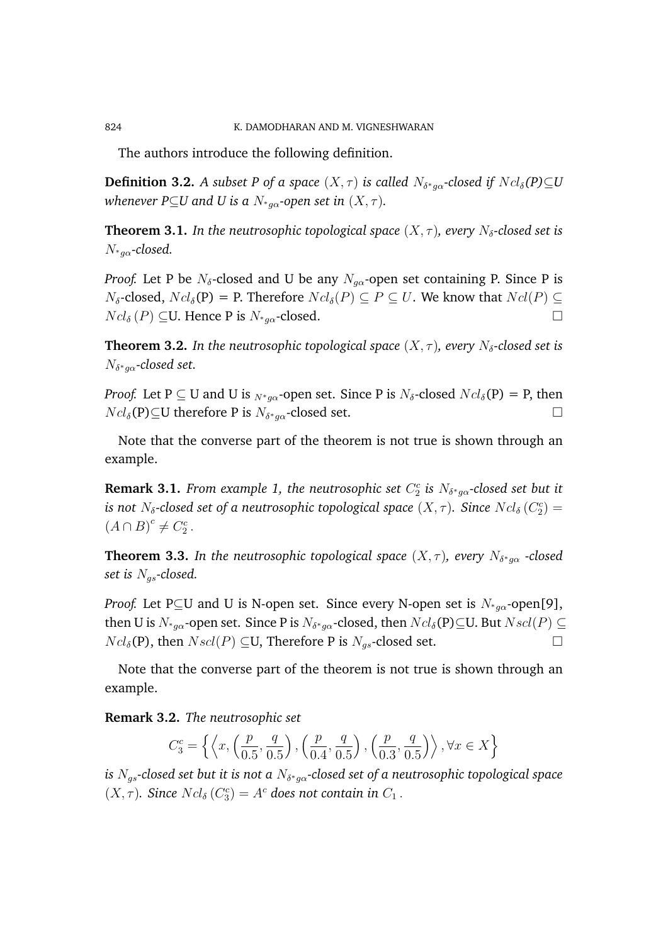The authors introduce the following definition.

**Definition 3.2.** A subset P of a space  $(X,\tau)$  is called  $N_{\delta^*g\alpha}$ -closed if  $Ncl_{\delta}(P){\subseteq}U$ *whenever P*⊆*U* and *U* is a  $N_{*_{q\alpha}}$ -open set in  $(X, \tau)$ .

**Theorem 3.1.** In the neutrosophic topological space  $(X, \tau)$ , every  $N_{\delta}$ -closed set is N<sup>∗</sup>gα*-closed.*

*Proof.* Let P be  $N_{\delta}$ -closed and U be any  $N_{q\alpha}$ -open set containing P. Since P is  $N_{\delta}$ -closed,  $Ncl_{\delta}(P) = P$ . Therefore  $Ncl_{\delta}(P) \subseteq P \subseteq U$ . We know that  $Ncl(P) \subseteq$  $Ncl_{\delta}(P) \subseteq U$ . Hence P is  $N_{*_{q\alpha}}$ -closed.

**Theorem 3.2.** In the neutrosophic topological space  $(X, \tau)$ , every  $N_{\delta}$ -closed set is  $N_{\delta^* g \alpha}$ -closed set.

*Proof.* Let P  $\subseteq$  U and U is  $_{N^*a\alpha}$ -open set. Since P is  $N_{\delta}$ -closed  $Ncl_{\delta}(P) = P$ , then  $Ncl_{\delta}(\mathbf{P})\subseteq U$  therefore P is  $N_{\delta^*g\alpha}$ -closed set.

Note that the converse part of the theorem is not true is shown through an example.

**Remark 3.1.** *From example 1, the neutrosophic set*  $C_2^c$  *is*  $N_{\delta^* g \alpha}$ *-closed set but it* is not  $N_{\delta}$ -closed set of a neutrosophic topological space  $(X,\tau)$ . Since  $Ncl_{\delta}\left(C_{2}^{c}\right)=0$  $(A \cap B)^c \neq C_2^c$ .

**Theorem 3.3.** In the neutrosophic topological space  $(X,\tau)$ , every  $N_{\delta^* g \alpha}$  -closed *set is* Ngs*-closed.*

*Proof.* Let P⊆U and U is N-open set. Since every N-open set is  $N_{\alpha\alpha}$ -open[9], then U is  $N_{^*g\alpha}$ -open set. Since P is  $N_{\delta^*g\alpha}$ -closed, then  $Ncl_{\delta}({\rm P}){\subseteq}$ U. But  $Nscl(P)\subseteq$  $Ncl_{\delta}(\mathbf{P})$ , then  $Nscl(P) \subseteq U$ , Therefore P is  $N_{qs}$ -closed set.

Note that the converse part of the theorem is not true is shown through an example.

**Remark 3.2.** *The neutrosophic set*

$$
C_3^c=\left\{\left\langle x,\left(\frac{p}{0.5},\frac{q}{0.5}\right),\left(\frac{p}{0.4},\frac{q}{0.5}\right),\left(\frac{p}{0.3},\frac{q}{0.5}\right) \right\rangle, \forall x \in X\right\}
$$

*is* Ngs*-closed set but it is not a* N<sup>δ</sup> <sup>∗</sup>gα*-closed set of a neutrosophic topological space*  $(X, \tau)$ . Since  $Ncl_{\delta}(C_3^c) = A^c$  does not contain in  $C_1$ .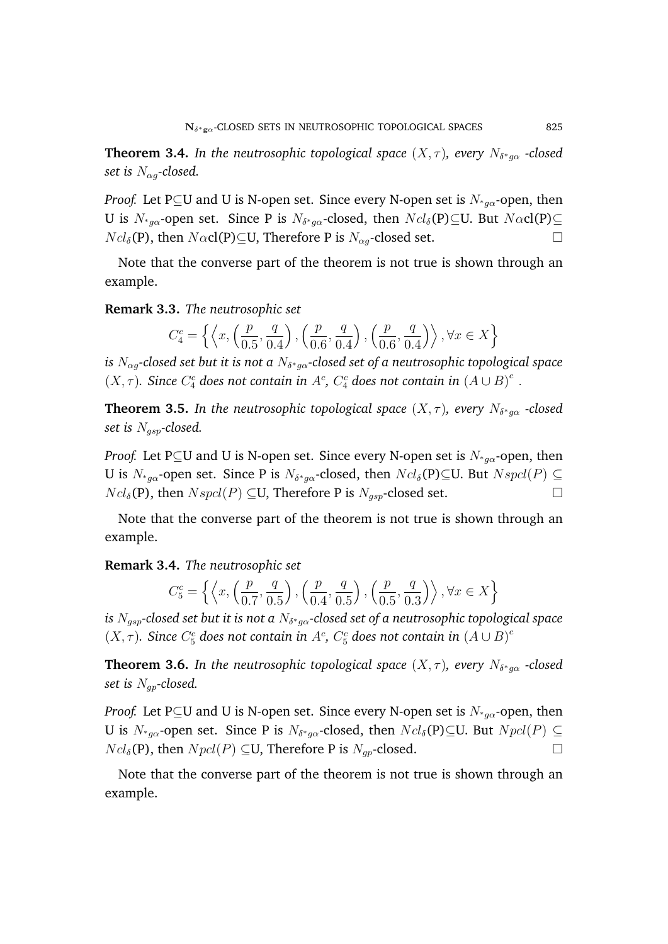**Theorem 3.4.** In the neutrosophic topological space  $(X,\tau)$ , every  $N_{\delta^*g\alpha}$  -closed *set is*  $N_{\alpha q}$ -closed.

*Proof.* Let P⊆U and U is N-open set. Since every N-open set is  $N_{\alpha}$ -open, then U is  $N_{^*g\alpha}$ -open set. Since P is  $N_{\delta^*g\alpha}$ -closed, then  $Ncl_\delta({\rm P}){\subseteq}$ U. But  $N\alpha{\rm cl}({\rm P}){\subseteq}$  $Ncl_{\delta}(\mathbf{P})$ , then  $N\alpha$ cl(P) $\subseteq$ U, Therefore P is  $N_{\alpha q}$ -closed set.

Note that the converse part of the theorem is not true is shown through an example.

**Remark 3.3.** *The neutrosophic set*

$$
C_4^c = \left\{ \left\langle x, \left( \frac{p}{0.5}, \frac{q}{0.4} \right), \left( \frac{p}{0.6}, \frac{q}{0.4} \right), \left( \frac{p}{0.6}, \frac{q}{0.4} \right) \right\rangle, \forall x \in X \right\}
$$

is  $N_{\alpha g}$ -closed set but it is not a  $N_{\delta^* g \alpha}$ -closed set of a neutrosophic topological space  $(X, \tau)$ . Since  $C_4^c$  does not contain in  $A^c$ ,  $C_4^c$  does not contain in  $(A \cup B)^c$ .

**Theorem 3.5.** In the neutrosophic topological space  $(X,\tau)$ , every  $N_{\delta^* g \alpha}$  -closed *set is* Ngsp*-closed.*

*Proof.* Let P⊆U and U is N-open set. Since every N-open set is  $N_{*g\alpha}$ -open, then U is  $N_{^*g\alpha}$ -open set. Since P is  $N_{\delta^*g\alpha}$ -closed, then  $Ncl_{\delta}(\mathbf{P})\subseteq$ U. But  $Nspcl(P)\subseteq$  $Ncl_{\delta}(\mathbf{P})$ , then  $Nspcl(P) \subseteq U$ , Therefore P is  $N_{qsp}$ -closed set.

Note that the converse part of the theorem is not true is shown through an example.

**Remark 3.4.** *The neutrosophic set*

$$
C_5^c = \left\{ \left\langle x, \left( \frac{p}{0.7}, \frac{q}{0.5} \right), \left( \frac{p}{0.4}, \frac{q}{0.5} \right), \left( \frac{p}{0.5}, \frac{q}{0.3} \right) \right\rangle, \forall x \in X \right\}
$$

is  $N_{gsp}$ -closed set but it is not a  $N_{\delta^* g \alpha}$ -closed set of a neutrosophic topological space  $(X, \tau)$ . Since  $C_5^c$  does not contain in  $A^c$ ,  $C_5^c$  does not contain in  $(A \cup B)^c$ 

**Theorem 3.6.** In the neutrosophic topological space  $(X,\tau)$ , every  $N_{\delta^* g \alpha}$  -closed *set is* Ngp*-closed.*

*Proof.* Let P⊆U and U is N-open set. Since every N-open set is  $N_{\alpha}$ -open, then U is  $N_{*g\alpha}$ -open set. Since P is  $N_{\delta^*g\alpha}$ -closed, then  $Ncl_{\delta}(\mathbf{P})\subseteq$ U. But  $Npcl(P)\subseteq$  $Ncl_{\delta}(\mathbf{P})$ , then  $Npel(P) \subseteq U$ , Therefore P is  $N_{qp}$ -closed.

Note that the converse part of the theorem is not true is shown through an example.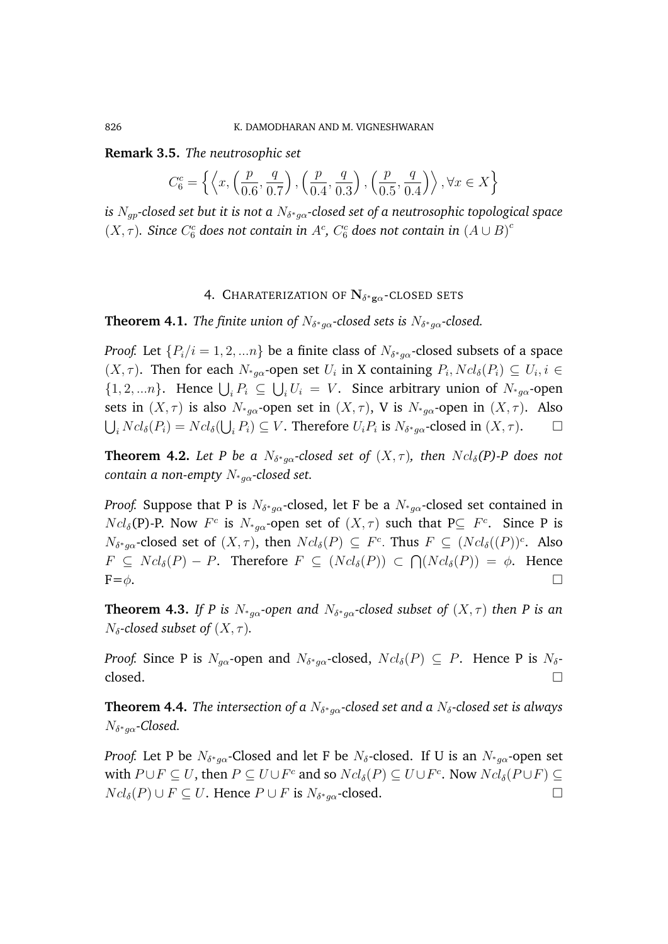**Remark 3.5.** *The neutrosophic set*

$$
C_6^c = \left\{ \left\langle x, \left( \frac{p}{0.6}, \frac{q}{0.7} \right), \left( \frac{p}{0.4}, \frac{q}{0.3} \right), \left( \frac{p}{0.5}, \frac{q}{0.4} \right) \right\rangle, \forall x \in X \right\}
$$

*is* Ngp*-closed set but it is not a* N<sup>δ</sup> <sup>∗</sup>gα*-closed set of a neutrosophic topological space*  $(X, \tau)$ . Since  $C_6^c$  does not contain in  $A^c$ ,  $C_6^c$  does not contain in  $(A \cup B)^c$ 

## 4. Charaterization of  ${\rm N}_{\delta^*{\rm g}\alpha}$ -closed sets

**Theorem 4.1.** *The finite union of*  $N_{\delta^* g \alpha}$ *-closed sets is*  $N_{\delta^* g \alpha}$ *-closed.* 

*Proof.* Let  $\{P_i/i=1,2,...n\}$  be a finite class of  $N_{\delta^*g\alpha}$ -closed subsets of a space  $(X, \tau)$ . Then for each  $N_{*g\alpha}$ -open set  $U_i$  in X containing  $P_i$ ,  $Ncl_{\delta}(P_i) \subseteq U_i$ ,  $i \in$  $\{1, 2, \ldots n\}$ . Hence  $\bigcup_i P_i \subseteq \bigcup_i U_i = V$ . Since arbitrary union of  $N_{*g\alpha}$ -open sets in  $(X, \tau)$  is also  $N_{*q\alpha}$ -open set in  $(X, \tau)$ , V is  $N_{*q\alpha}$ -open in  $(X, \tau)$ . Also  $\bigcup_i Ncl_\delta(P_i) = Ncl_\delta(\bigcup_i P_i) \subseteq V$ . Therefore  $U_i P_i$  is  $N_{\delta^* g \alpha}$ -closed in  $(X, \tau)$ .

**Theorem 4.2.** Let P be a  $N_{\delta^* g \alpha}$ -closed set of  $(X, \tau)$ , then  $Ncl_{\delta}(P)$ -P does not *contain a non-empty N<sub>∗αα</sub>-closed set.* 

*Proof.* Suppose that P is  $N_{\delta^* g \alpha}$ -closed, let F be a  $N_{^* g \alpha}$ -closed set contained in  $Ncl_{\delta}(\mathbf{P})$ -P. Now  $F^c$  is  $N_{*g\alpha}$ -open set of  $(X,\tau)$  such that  $\mathbf{P} \subseteq F^c$ . Since P is  $N_{\delta^* g \alpha}$ -closed set of  $(X, \tau)$ , then  $Ncl_{\delta}(P) \subseteq F^c$ . Thus  $F \subseteq (Ncl_{\delta}((P))^c$ . Also  $F \subseteq Ncl_{\delta}(P) - P$ . Therefore  $F \subseteq (Ncl_{\delta}(P)) \subset \bigcap (Ncl_{\delta}(P)) = \emptyset$ . Hence  $\mathrm{F}=\phi$ .

**Theorem 4.3.** If P is  $N_{*g\alpha}$ -open and  $N_{\delta^{*}g\alpha}$ -closed subset of  $(X,\tau)$  then P is an  $N_{\delta}$ -closed subset of  $(X, \tau)$ .

*Proof.* Since P is  $N_{g\alpha}$ -open and  $N_{\delta^*g\alpha}$ -closed,  $Ncl_{\delta}(P) \subseteq P$ . Hence P is  $N_{\delta}$ - $\Box$ closed.

**Theorem 4.4.** The intersection of a  $N_{\delta^* g \alpha}$ -closed set and a  $N_{\delta}$ -closed set is always N<sup>δ</sup> <sup>∗</sup>gα*-Closed.*

*Proof.* Let P be  $N_{\delta^* g \alpha}$ -Closed and let F be  $N_{\delta}$ -closed. If U is an  $N_{^* g \alpha}$ -open set with  $P \cup F \subseteq U$ , then  $P \subseteq U \cup F^c$  and so  $Ncl_{\delta}(P) \subseteq U \cup F^c$ . Now  $Ncl_{\delta}(P \cup F) \subseteq$  $Ncl_{\delta}(P) \cup F \subseteq U$ . Hence  $P \cup F$  is  $N_{\delta^*g\alpha}$ -closed.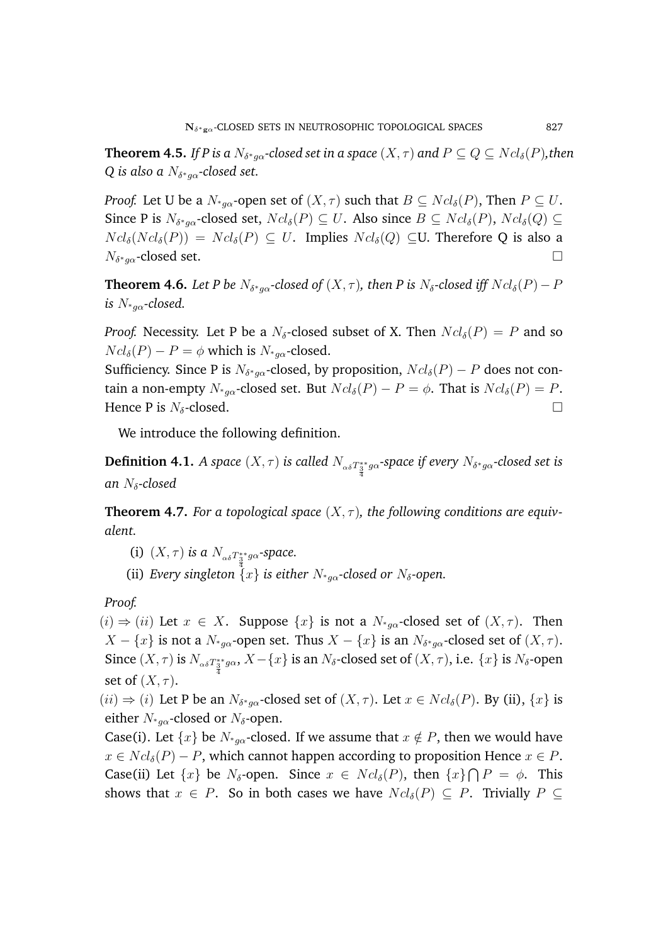**Theorem 4.5.** If P is a  $N_{\delta^* g \alpha}$ -closed set in a space  $(X, \tau)$  and  $P \subseteq Q \subseteq Ncl_{\delta}(P)$ ,then Q is also a  $N_{\delta^* g \alpha}$ -closed set.

*Proof.* Let U be a  $N_{a\alpha}$ -open set of  $(X, \tau)$  such that  $B \subseteq Ncl_{\delta}(P)$ , Then  $P \subseteq U$ . Since P is  $N_{\delta^*g\alpha}$ -closed set,  $Ncl_{\delta}(P) \subseteq U$ . Also since  $B \subseteq Ncl_{\delta}(P)$ ,  $Ncl_{\delta}(Q) \subseteq$  $Ncl_{\delta}(Ncl_{\delta}(P)) = Ncl_{\delta}(P) \subseteq U$ . Implies  $Ncl_{\delta}(Q) \subseteq U$ . Therefore Q is also a  $N_{\delta^* g \alpha}$ -closed set.

**Theorem 4.6.** Let P be  $N_{\delta^* g \alpha}$ -closed of  $(X, \tau)$ , then P is  $N_{\delta}$ -closed iff  $Ncl_{\delta}(P)-P$ *is*  $N_{*q\alpha}$ -closed.

*Proof.* Necessity. Let P be a  $N_{\delta}$ -closed subset of X. Then  $Ncl_{\delta}(P) = P$  and so  $Ncl_{\delta}(P) - P = \phi$  which is  $N_{*a\alpha}$ -closed.

Sufficiency. Since P is  $N_{\delta^*g\alpha}$ -closed, by proposition,  $Ncl_{\delta}(P) - P$  does not contain a non-empty  $N_{*_{\alpha\alpha}}$ -closed set. But  $Ncl_{\delta}(P) - P = \phi$ . That is  $Ncl_{\delta}(P) = P$ . Hence P is  $N_{\delta}$ -closed.

We introduce the following definition.

**Definition 4.1.** *A space*  $(X, \tau)$  *is called*  $N_{\alpha\delta T^*_\frac{3}{4}g\alpha}$ *-space if every*  $N_{\delta^*g\alpha}$ *-closed set is an* Nδ*-closed*

**Theorem 4.7.** *For a topological space*  $(X, \tau)$ , *the following conditions are equivalent.*

- (i)  $(X, \tau)$  *is a*  $N_{\alpha\delta}T_3^*g\alpha$ -space.
- (ii) *Every singleton*  $\{x\}$  *is either*  $N_{*g\alpha}$ -closed or  $N_{\delta}$ -open.

*Proof.*

 $(i) \Rightarrow (ii)$  Let  $x \in X$ . Suppose  $\{x\}$  is not a  $N_{\alpha}$ -closed set of  $(X, \tau)$ . Then  $X - \{x\}$  is not a  $N_{^*g\alpha}$ -open set. Thus  $X - \{x\}$  is an  $N_{\delta^*g\alpha}$ -closed set of  $(X, \tau)$ . Since  $(X,\tau)$  is  $N_{\alpha\delta T^*_3}$   $_{g\alpha},$   $X-\{x\}$  is an  $N_\delta$ -closed set of  $(X,\tau),$  i.e.  $\{x\}$  is  $N_\delta$ -open 4 set of  $(X, \tau)$ .

 $(ii) \Rightarrow (i)$  Let P be an  $N_{\delta^* g \alpha}$ -closed set of  $(X, \tau)$ . Let  $x \in Ncl_{\delta}(P)$ . By (ii),  $\{x\}$  is either  $N_{*}$ <sub>a $\alpha$ </sub>-closed or  $N_{\delta}$ -open.

Case(i). Let  $\{x\}$  be  $N_{*_{\alpha}}$ -closed. If we assume that  $x \notin P$ , then we would have  $x \in Ncl_{\delta}(P) - P$ , which cannot happen according to proposition Hence  $x \in P$ . Case(ii) Let  $\{x\}$  be  $N_{\delta}$ -open. Since  $x \in Ncl_{\delta}(P)$ , then  $\{x\} \bigcap P = \phi$ . This shows that  $x \in P$ . So in both cases we have  $Ncl_{\delta}(P) \subseteq P$ . Trivially  $P \subseteq$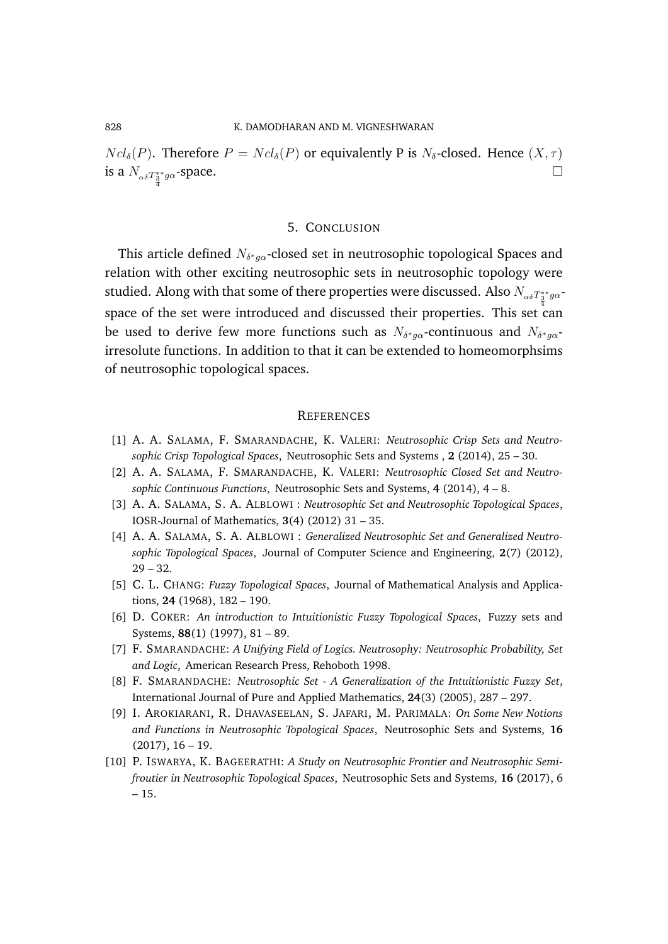$Ncl_{\delta}(P)$ . Therefore  $P = Ncl_{\delta}(P)$  or equivalently P is  $N_{\delta}$ -closed. Hence  $(X, \tau)$ is a  $N_{\alpha\delta}T_{\frac{3}{4}}^{**}g\alpha$ -space.

### 5. CONCLUSION

This article defined  $N_{\delta^* g \alpha}$ -closed set in neutrosophic topological Spaces and relation with other exciting neutrosophic sets in neutrosophic topology were studied. Along with that some of there properties were discussed. Also  $N_{_{\alpha\delta}T_{3}^{**}g\alpha}$ space of the set were introduced and discussed their properties. This set  $\overset{\text{\rm\tiny{4}}}{\texttt{can}}$ be used to derive few more functions such as  $N_{\delta^* g \alpha}$ -continuous and  $N_{\delta^* g \alpha}$ irresolute functions. In addition to that it can be extended to homeomorphsims of neutrosophic topological spaces.

#### **REFERENCES**

- [1] A. A. SALAMA, F. SMARANDACHE, K. VALERI: *Neutrosophic Crisp Sets and Neutrosophic Crisp Topological Spaces*, Neutrosophic Sets and Systems , **2** (2014), 25 – 30.
- [2] A. A. SALAMA, F. SMARANDACHE, K. VALERI: *Neutrosophic Closed Set and Neutrosophic Continuous Functions*, Neutrosophic Sets and Systems, **4** (2014), 4 – 8.
- [3] A. A. SALAMA, S. A. ALBLOWI : *Neutrosophic Set and Neutrosophic Topological Spaces*, IOSR-Journal of Mathematics, **3**(4) (2012) 31 – 35.
- [4] A. A. SALAMA, S. A. ALBLOWI : *Generalized Neutrosophic Set and Generalized Neutrosophic Topological Spaces*, Journal of Computer Science and Engineering, **2**(7) (2012),  $29 - 32.$
- [5] C. L. CHANG: *Fuzzy Topological Spaces*, Journal of Mathematical Analysis and Applications, **24** (1968), 182 – 190.
- [6] D. COKER: *An introduction to Intuitionistic Fuzzy Topological Spaces*, Fuzzy sets and Systems, **88**(1) (1997), 81 – 89.
- [7] F. SMARANDACHE: *A Unifying Field of Logics. Neutrosophy: Neutrosophic Probability, Set and Logic*, American Research Press, Rehoboth 1998.
- [8] F. SMARANDACHE: *Neutrosophic Set A Generalization of the Intuitionistic Fuzzy Set*, International Journal of Pure and Applied Mathematics, **24**(3) (2005), 287 – 297.
- [9] I. AROKIARANI, R. DHAVASEELAN, S. JAFARI, M. PARIMALA: *On Some New Notions and Functions in Neutrosophic Topological Spaces*, Neutrosophic Sets and Systems, **16** (2017), 16 – 19.
- [10] P. ISWARYA, K. BAGEERATHI: *A Study on Neutrosophic Frontier and Neutrosophic Semifroutier in Neutrosophic Topological Spaces*, Neutrosophic Sets and Systems, **16** (2017), 6 – 15.